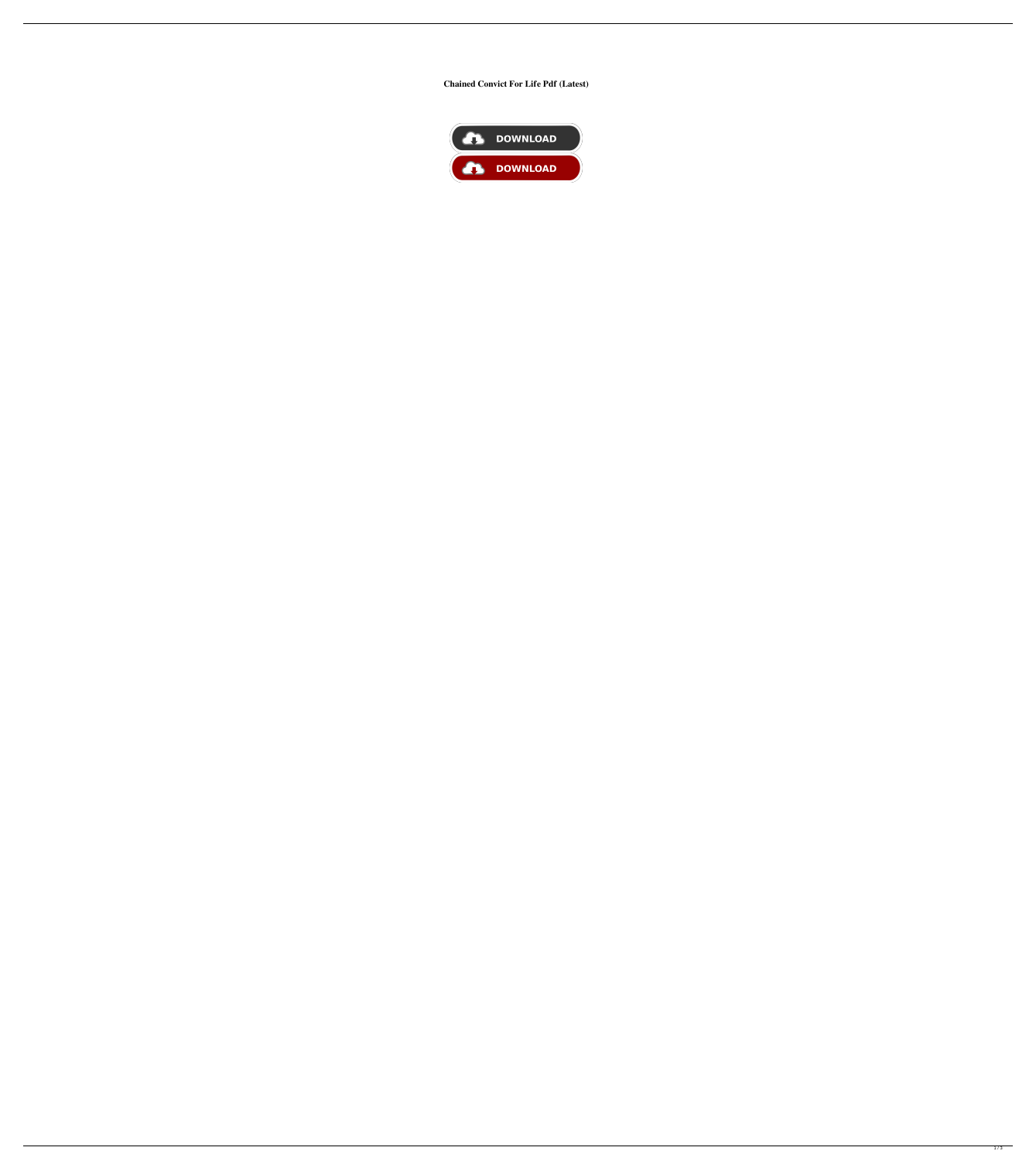## **Chained Convict For Life Pdf (Latest)**

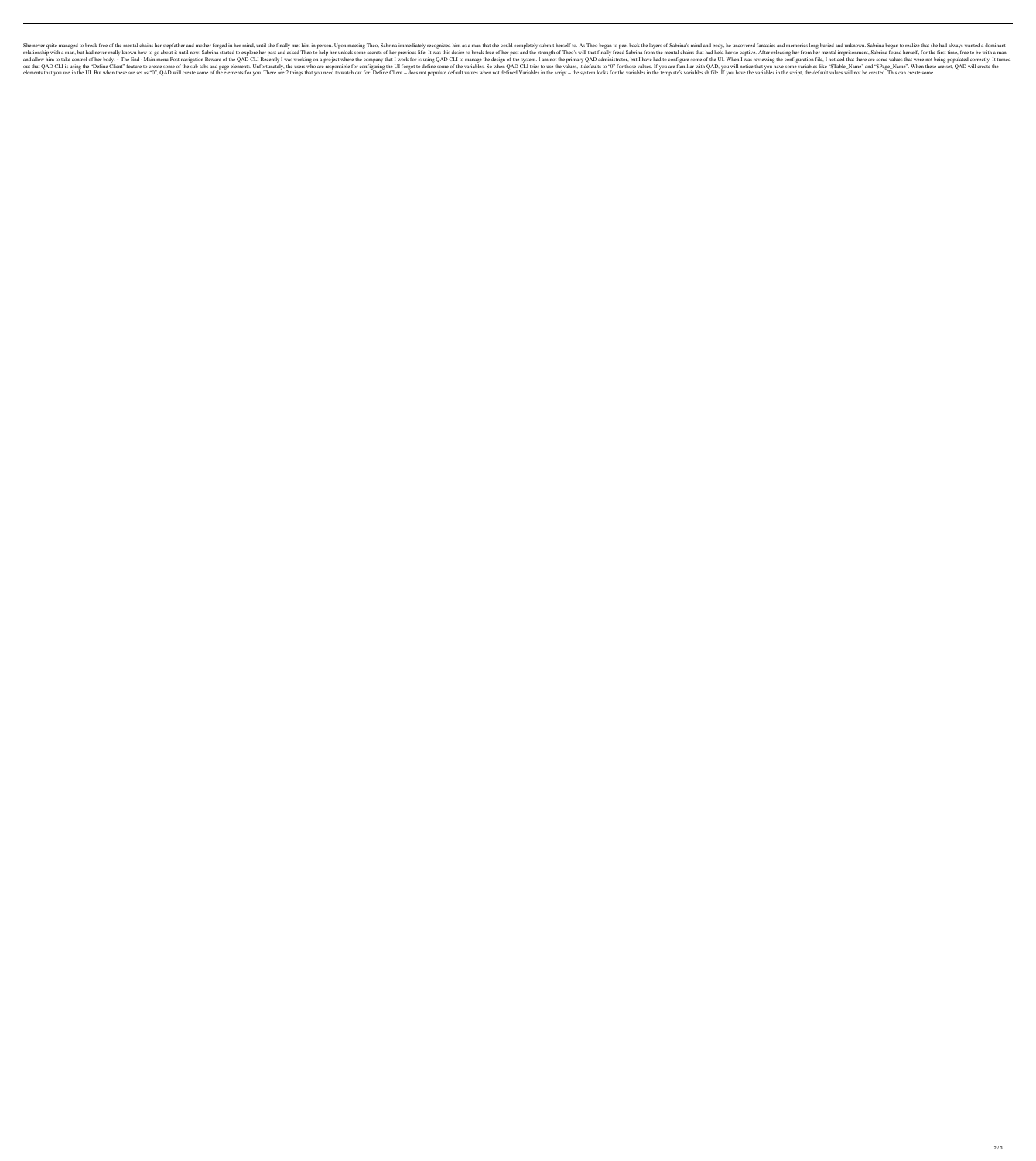She never quite managed to break free of the mental chains her stepfather and mother forged in her stimal, until she finally met him in person. Upon meeting Theo, Sabrina immediately recognized him as a man that she could relationship with a man, but had never really known how to go about it until now. Sabrina started to explore her past and asked Theo to help her unlock some secrets of her previous life. It was this desire to break free of and allow him to take control of her body. ~ The End ~Main menu Post navigation Beware of the QAD CLI Recently I was working on a project where the company that I work for is using QAD CLI to manage the design of the syste out that QAD CLI is using the "Define Client" feature to create some of the sub-tabs and page elements. Unfortunately, the users who are responsible for configuring the UI forgot to define some of the variables. So when QA elements that you use in the UI. But when these are set as "0", QAD will create some of the elements for you. There are 2 things that you need to watch out for: Define Client - does not populate default values when not def